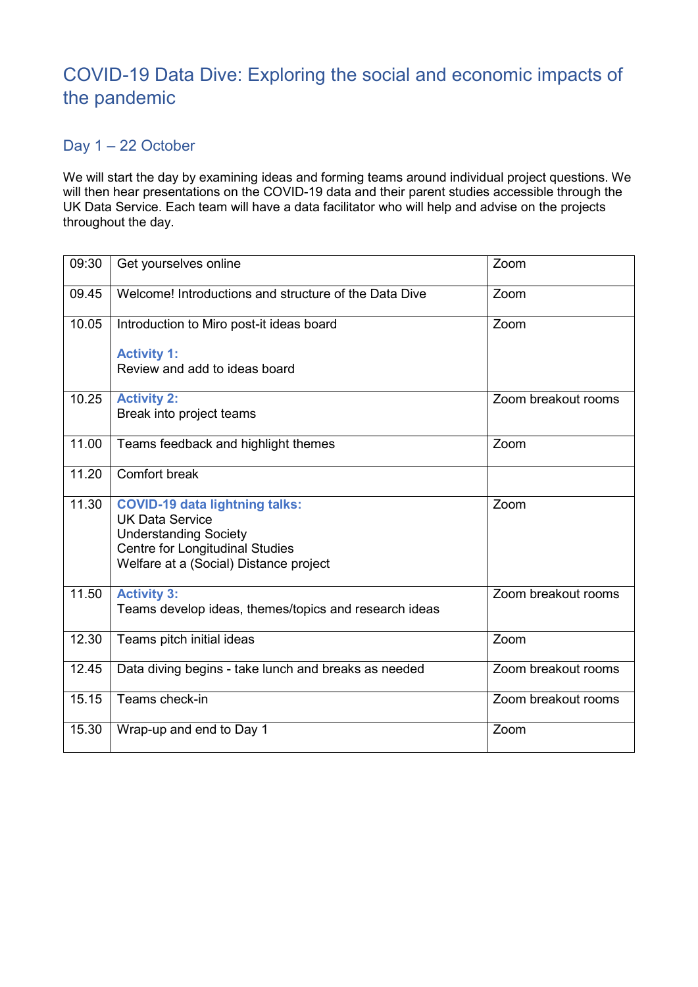## COVID-19 Data Dive: Exploring the social and economic impacts of the pandemic

## Day 1 – 22 October

We will start the day by examining ideas and forming teams around individual project questions. We will then hear presentations on the COVID-19 data and their parent studies accessible through the UK Data Service. Each team will have a data facilitator who will help and advise on the projects throughout the day.

| 09:30 | Get yourselves online                                                                                                                                                        | Zoom                |
|-------|------------------------------------------------------------------------------------------------------------------------------------------------------------------------------|---------------------|
| 09.45 | Welcome! Introductions and structure of the Data Dive                                                                                                                        | Zoom                |
| 10.05 | Introduction to Miro post-it ideas board                                                                                                                                     | Zoom                |
|       | <b>Activity 1:</b><br>Review and add to ideas board                                                                                                                          |                     |
|       |                                                                                                                                                                              |                     |
| 10.25 | <b>Activity 2:</b><br>Break into project teams                                                                                                                               | Zoom breakout rooms |
|       |                                                                                                                                                                              |                     |
| 11.00 | Teams feedback and highlight themes                                                                                                                                          | Zoom                |
| 11.20 | Comfort break                                                                                                                                                                |                     |
| 11.30 | <b>COVID-19 data lightning talks:</b><br><b>UK Data Service</b><br><b>Understanding Society</b><br>Centre for Longitudinal Studies<br>Welfare at a (Social) Distance project | Zoom                |
| 11.50 | <b>Activity 3:</b><br>Teams develop ideas, themes/topics and research ideas                                                                                                  | Zoom breakout rooms |
| 12.30 | Teams pitch initial ideas                                                                                                                                                    | Zoom                |
| 12.45 | Data diving begins - take lunch and breaks as needed                                                                                                                         | Zoom breakout rooms |
| 15.15 | Teams check-in                                                                                                                                                               | Zoom breakout rooms |
| 15.30 | Wrap-up and end to Day 1                                                                                                                                                     | Zoom                |